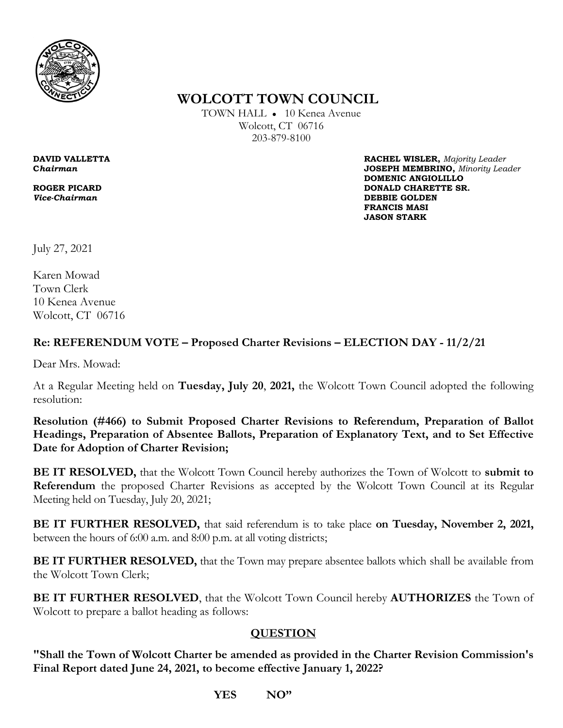

 **WOLCOTT TOWN COUNCIL** 

TOWN HALL ● 10 Kenea Avenue Wolcott, CT 06716 203-879-8100

**DAVID VALLETTA RACHEL WISLER,** *Majority Leader* **C***hairman* **JOSEPH MEMBRINO,** *Minority Leader*   **DOMENIC ANGIOLILLO ROGER PICARD DONALD CHARETTE SR. DONALD CHARETTE SR.** *Vice-Chairman* **DEBBIE GOLDEN FRANCIS MASI**  **JASON STARK**

July 27, 2021

Karen Mowad Town Clerk 10 Kenea Avenue Wolcott, CT 06716

## **Re: REFERENDUM VOTE – Proposed Charter Revisions – ELECTION DAY - 11/2/21**

Dear Mrs. Mowad:

At a Regular Meeting held on **Tuesday, July 20**, **2021,** the Wolcott Town Council adopted the following resolution:

**Resolution (#466) to Submit Proposed Charter Revisions to Referendum, Preparation of Ballot Headings, Preparation of Absentee Ballots, Preparation of Explanatory Text, and to Set Effective Date for Adoption of Charter Revision;** 

**BE IT RESOLVED,** that the Wolcott Town Council hereby authorizes the Town of Wolcott to **submit to Referendum** the proposed Charter Revisions as accepted by the Wolcott Town Council at its Regular Meeting held on Tuesday, July 20, 2021;

**BE IT FURTHER RESOLVED,** that said referendum is to take place **on Tuesday, November 2, 2021,** between the hours of 6:00 a.m. and 8:00 p.m. at all voting districts;

**BE IT FURTHER RESOLVED,** that the Town may prepare absentee ballots which shall be available from the Wolcott Town Clerk;

**BE IT FURTHER RESOLVED**, that the Wolcott Town Council hereby **AUTHORIZES** the Town of Wolcott to prepare a ballot heading as follows:

## **QUESTION**

**"Shall the Town of Wolcott Charter be amended as provided in the Charter Revision Commission's Final Report dated June 24, 2021, to become effective January 1, 2022?** 

 **YES NO"**